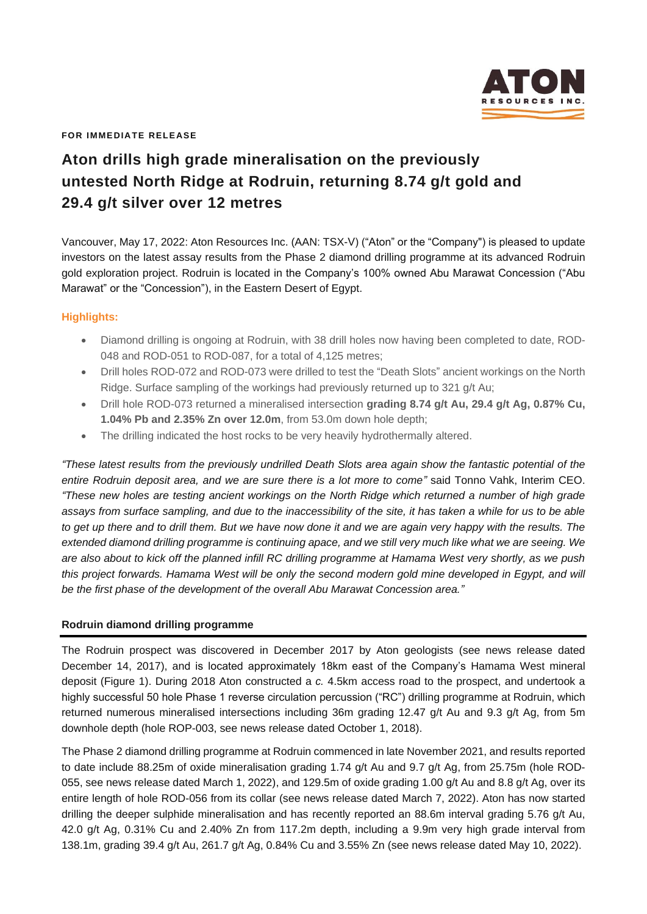

**FOR IMMEDIATE RELEASE**

# **Aton drills high grade mineralisation on the previously untested North Ridge at Rodruin, returning 8.74 g/t gold and 29.4 g/t silver over 12 metres**

Vancouver, May 17, 2022: Aton Resources Inc. (AAN: TSX-V) ("Aton" or the "Company") is pleased to update investors on the latest assay results from the Phase 2 diamond drilling programme at its advanced Rodruin gold exploration project. Rodruin is located in the Company's 100% owned Abu Marawat Concession ("Abu Marawat" or the "Concession"), in the Eastern Desert of Egypt.

## **Highlights:**

- Diamond drilling is ongoing at Rodruin, with 38 drill holes now having been completed to date, ROD-048 and ROD-051 to ROD-087, for a total of 4,125 metres;
- Drill holes ROD-072 and ROD-073 were drilled to test the "Death Slots" ancient workings on the North Ridge. Surface sampling of the workings had previously returned up to 321 g/t Au;
- Drill hole ROD-073 returned a mineralised intersection **grading 8.74 g/t Au, 29.4 g/t Ag, 0.87% Cu, 1.04% Pb and 2.35% Zn over 12.0m**, from 53.0m down hole depth;
- The drilling indicated the host rocks to be very heavily hydrothermally altered.

*"These latest results from the previously undrilled Death Slots area again show the fantastic potential of the entire Rodruin deposit area, and we are sure there is a lot more to come"* said Tonno Vahk, Interim CEO. *"These new holes are testing ancient workings on the North Ridge which returned a number of high grade assays from surface sampling, and due to the inaccessibility of the site, it has taken a while for us to be able to get up there and to drill them. But we have now done it and we are again very happy with the results. The extended diamond drilling programme is continuing apace, and we still very much like what we are seeing. We are also about to kick off the planned infill RC drilling programme at Hamama West very shortly, as we push*  this project forwards. Hamama West will be only the second modern gold mine developed in Egypt, and will *be the first phase of the development of the overall Abu Marawat Concession area."*

## **Rodruin diamond drilling programme**

The Rodruin prospect was discovered in December 2017 by Aton geologists (see news release dated December 14, 2017), and is located approximately 18km east of the Company's Hamama West mineral deposit (Figure 1). During 2018 Aton constructed a *c.* 4.5km access road to the prospect, and undertook a highly successful 50 hole Phase 1 reverse circulation percussion ("RC") drilling programme at Rodruin, which returned numerous mineralised intersections including 36m grading 12.47 g/t Au and 9.3 g/t Ag, from 5m downhole depth (hole ROP-003, see news release dated October 1, 2018).

The Phase 2 diamond drilling programme at Rodruin commenced in late November 2021, and results reported to date include 88.25m of oxide mineralisation grading 1.74 g/t Au and 9.7 g/t Ag, from 25.75m (hole ROD-055, see news release dated March 1, 2022), and 129.5m of oxide grading 1.00 g/t Au and 8.8 g/t Ag, over its entire length of hole ROD-056 from its collar (see news release dated March 7, 2022). Aton has now started drilling the deeper sulphide mineralisation and has recently reported an 88.6m interval grading 5.76 g/t Au, 42.0 g/t Ag, 0.31% Cu and 2.40% Zn from 117.2m depth, including a 9.9m very high grade interval from 138.1m, grading 39.4 g/t Au, 261.7 g/t Ag, 0.84% Cu and 3.55% Zn (see news release dated May 10, 2022).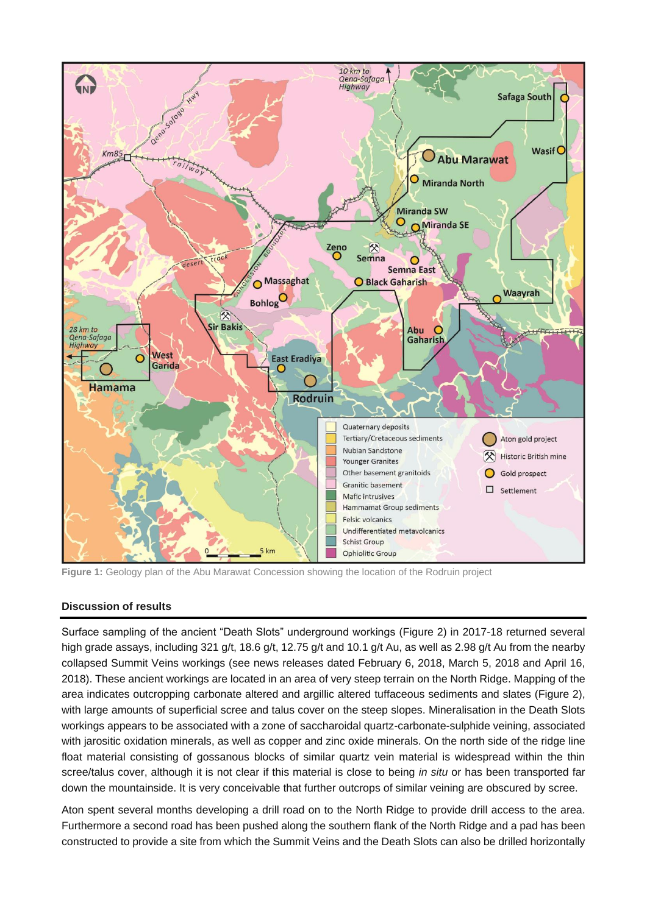

**Figure 1:** Geology plan of the Abu Marawat Concession showing the location of the Rodruin project

## **Discussion of results**

Surface sampling of the ancient "Death Slots" underground workings (Figure 2) in 2017-18 returned several high grade assays, including 321 g/t, 18.6 g/t, 12.75 g/t and 10.1 g/t Au, as well as 2.98 g/t Au from the nearby collapsed Summit Veins workings (see news releases dated February 6, 2018, March 5, 2018 and April 16, 2018). These ancient workings are located in an area of very steep terrain on the North Ridge. Mapping of the area indicates outcropping carbonate altered and argillic altered tuffaceous sediments and slates (Figure 2), with large amounts of superficial scree and talus cover on the steep slopes. Mineralisation in the Death Slots workings appears to be associated with a zone of saccharoidal quartz-carbonate-sulphide veining, associated with jarositic oxidation minerals, as well as copper and zinc oxide minerals. On the north side of the ridge line float material consisting of gossanous blocks of similar quartz vein material is widespread within the thin scree/talus cover, although it is not clear if this material is close to being *in situ* or has been transported far down the mountainside. It is very conceivable that further outcrops of similar veining are obscured by scree.

Aton spent several months developing a drill road on to the North Ridge to provide drill access to the area. Furthermore a second road has been pushed along the southern flank of the North Ridge and a pad has been constructed to provide a site from which the Summit Veins and the Death Slots can also be drilled horizontally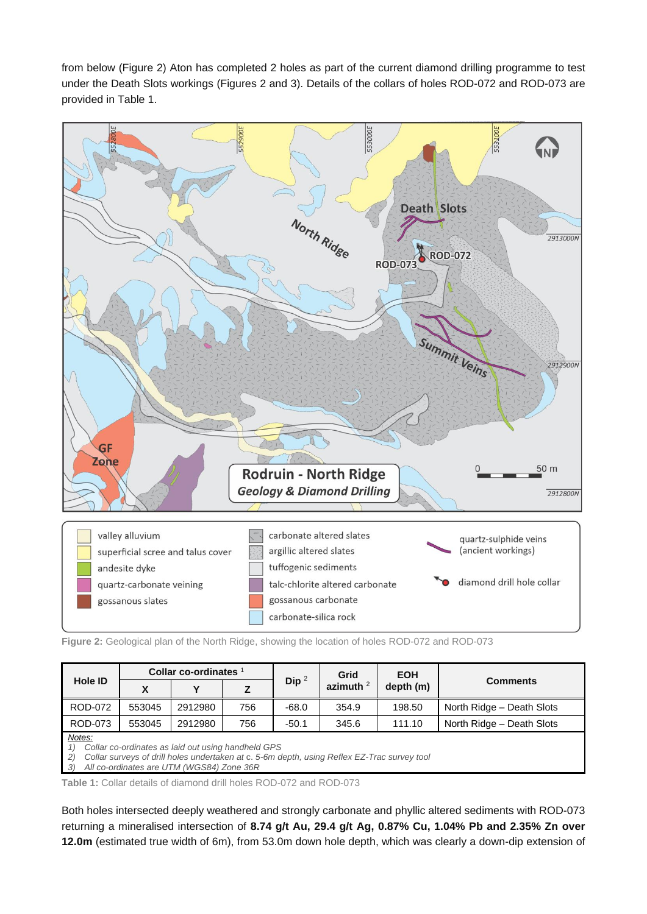from below (Figure 2) Aton has completed 2 holes as part of the current diamond drilling programme to test under the Death Slots workings (Figures 2 and 3). Details of the collars of holes ROD-072 and ROD-073 are provided in Table 1.



**Figure 2:** Geological plan of the North Ridge, showing the location of holes ROD-072 and ROD-073

| Hole ID                                                                                                                                                                                                                               | Collar co-ordinates $1$ |         |     |         | Grid        | <b>EOH</b> |                           |  |  |  |  |
|---------------------------------------------------------------------------------------------------------------------------------------------------------------------------------------------------------------------------------------|-------------------------|---------|-----|---------|-------------|------------|---------------------------|--|--|--|--|
|                                                                                                                                                                                                                                       | X                       | v       | z   | Dip $2$ | azimuth $2$ | depth (m)  | <b>Comments</b>           |  |  |  |  |
| <b>ROD-072</b>                                                                                                                                                                                                                        | 553045                  | 2912980 | 756 | -68.0   | 354.9       | 198.50     | North Ridge - Death Slots |  |  |  |  |
| <b>ROD-073</b>                                                                                                                                                                                                                        | 553045                  | 2912980 | 756 | $-50.1$ | 345.6       | 111.10     | North Ridge - Death Slots |  |  |  |  |
| Notes:<br>Collar co-ordinates as laid out using handheld GPS<br>Collar surveys of drill holes undertaken at c. 5-6m depth, using Reflex EZ-Trac survey tool<br>$\left( 2\right)$<br>All co-ordinates are UTM (WGS84) Zone 36R<br>- 3) |                         |         |     |         |             |            |                           |  |  |  |  |

**Table 1:** Collar details of diamond drill holes ROD-072 and ROD-073

Both holes intersected deeply weathered and strongly carbonate and phyllic altered sediments with ROD-073 returning a mineralised intersection of **8.74 g/t Au, 29.4 g/t Ag, 0.87% Cu, 1.04% Pb and 2.35% Zn over 12.0m** (estimated true width of 6m), from 53.0m down hole depth, which was clearly a down-dip extension of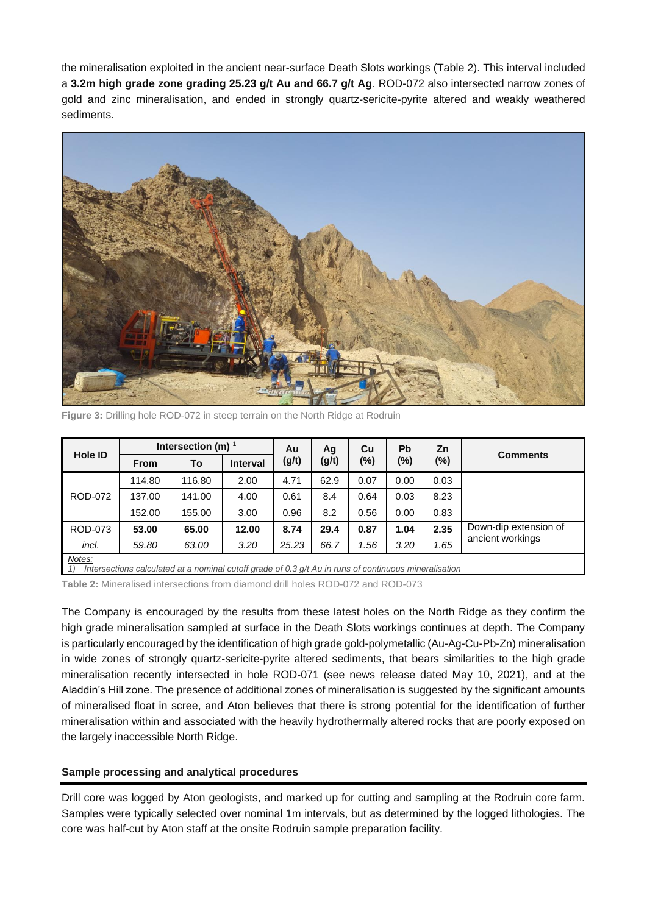the mineralisation exploited in the ancient near-surface Death Slots workings (Table 2). This interval included a **3.2m high grade zone grading 25.23 g/t Au and 66.7 g/t Ag**. ROD-072 also intersected narrow zones of gold and zinc mineralisation, and ended in strongly quartz-sericite-pyrite altered and weakly weathered sediments.

![](_page_3_Picture_1.jpeg)

Figure 3: Drilling hole ROD-072 in steep terrain on the North Ridge at Rodruin

| <b>Hole ID</b>                                                                                                                     | Intersection (m) $1$ |        |                 | Au    | Ag    | Cu     | Pb     | Zn     | <b>Comments</b>                           |  |
|------------------------------------------------------------------------------------------------------------------------------------|----------------------|--------|-----------------|-------|-------|--------|--------|--------|-------------------------------------------|--|
|                                                                                                                                    | <b>From</b>          | To     | <b>Interval</b> | (g/t) | (g/t) | $(\%)$ | $(\%)$ | $(\%)$ |                                           |  |
| ROD-072                                                                                                                            | 114.80               | 116.80 | 2.00            | 4.71  | 62.9  | 0.07   | 0.00   | 0.03   |                                           |  |
|                                                                                                                                    | 137.00               | 141.00 | 4.00            | 0.61  | 8.4   | 0.64   | 0.03   | 8.23   |                                           |  |
|                                                                                                                                    | 152.00               | 155.00 | 3.00            | 0.96  | 8.2   | 0.56   | 0.00   | 0.83   |                                           |  |
| ROD-073                                                                                                                            | 53.00                | 65.00  | 12.00           | 8.74  | 29.4  | 0.87   | 1.04   | 2.35   | Down-dip extension of<br>ancient workings |  |
| incl.                                                                                                                              | 59.80                | 63.00  | 3.20            | 25.23 | 66.7  | 1.56   | 3.20   | 1.65   |                                           |  |
| Notes:<br>Intersections calculated at a nominal cutoff grade of 0.3 $g/t$ Au in runs of continuous mineralisation<br>$\mathcal{I}$ |                      |        |                 |       |       |        |        |        |                                           |  |

**Table 2:** Mineralised intersections from diamond drill holes ROD-072 and ROD-073

The Company is encouraged by the results from these latest holes on the North Ridge as they confirm the high grade mineralisation sampled at surface in the Death Slots workings continues at depth. The Company is particularly encouraged by the identification of high grade gold-polymetallic (Au-Ag-Cu-Pb-Zn) mineralisation in wide zones of strongly quartz-sericite-pyrite altered sediments, that bears similarities to the high grade mineralisation recently intersected in hole ROD-071 (see news release dated May 10, 2021), and at the Aladdin's Hill zone. The presence of additional zones of mineralisation is suggested by the significant amounts of mineralised float in scree, and Aton believes that there is strong potential for the identification of further mineralisation within and associated with the heavily hydrothermally altered rocks that are poorly exposed on the largely inaccessible North Ridge.

## **Sample processing and analytical procedures**

Drill core was logged by Aton geologists, and marked up for cutting and sampling at the Rodruin core farm. Samples were typically selected over nominal 1m intervals, but as determined by the logged lithologies. The core was half-cut by Aton staff at the onsite Rodruin sample preparation facility.